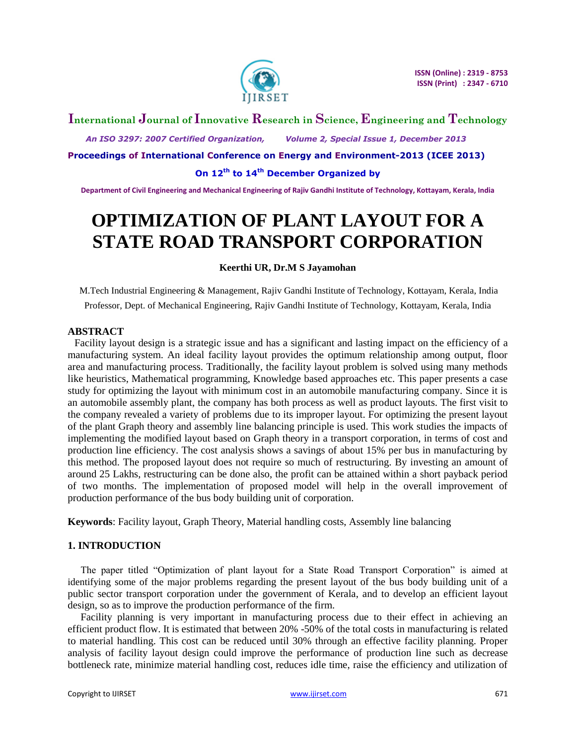

# **International Journal of Innovative Research in Science, Engineering and Technology**

 *An ISO 3297: 2007 Certified Organization, Volume 2, Special Issue 1, December 2013*

**Proceedings of International Conference on Energy and Environment-2013 (ICEE 2013)**

**On 12th to 14th December Organized by**

**Department of Civil Engineering and Mechanical Engineering of Rajiv Gandhi Institute of Technology, Kottayam, Kerala, India**

# **OPTIMIZATION OF PLANT LAYOUT FOR A STATE ROAD TRANSPORT CORPORATION**

### **Keerthi UR, Dr.M S Jayamohan**

M.Tech Industrial Engineering & Management, Rajiv Gandhi Institute of Technology, Kottayam, Kerala, India Professor, Dept. of Mechanical Engineering, Rajiv Gandhi Institute of Technology, Kottayam, Kerala, India

### **ABSTRACT**

Facility layout design is a strategic issue and has a significant and lasting impact on the efficiency of a manufacturing system. An ideal facility layout provides the optimum relationship among output, floor area and manufacturing process. Traditionally, the facility layout problem is solved using many methods like heuristics, Mathematical programming, Knowledge based approaches etc. This paper presents a case study for optimizing the layout with minimum cost in an automobile manufacturing company. Since it is an automobile assembly plant, the company has both process as well as product layouts. The first visit to the company revealed a variety of problems due to its improper layout. For optimizing the present layout of the plant Graph theory and assembly line balancing principle is used. This work studies the impacts of implementing the modified layout based on Graph theory in a transport corporation, in terms of cost and production line efficiency. The cost analysis shows a savings of about 15% per bus in manufacturing by this method. The proposed layout does not require so much of restructuring. By investing an amount of around 25 Lakhs, restructuring can be done also, the profit can be attained within a short payback period of two months. The implementation of proposed model will help in the overall improvement of production performance of the bus body building unit of corporation.

**Keywords**: Facility layout, Graph Theory, Material handling costs, Assembly line balancing

# **1. INTRODUCTION**

The paper titled "Optimization of plant layout for a State Road Transport Corporation" is aimed at identifying some of the major problems regarding the present layout of the bus body building unit of a public sector transport corporation under the government of Kerala, and to develop an efficient layout design, so as to improve the production performance of the firm.

Facility planning is very important in manufacturing process due to their effect in achieving an efficient product flow. It is estimated that between 20% -50% of the total costs in manufacturing is related to material handling. This cost can be reduced until 30% through an effective facility planning. Proper analysis of facility layout design could improve the performance of production line such as decrease bottleneck rate, minimize material handling cost, reduces idle time, raise the efficiency and utilization of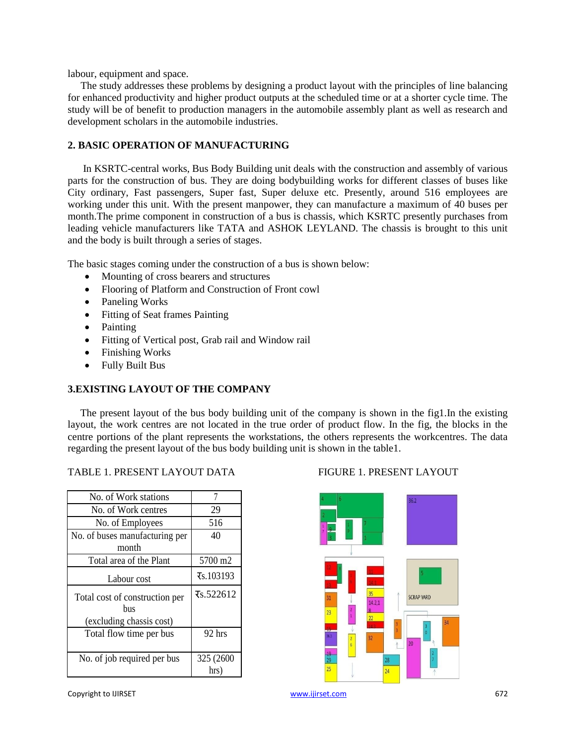labour, equipment and space.

The study addresses these problems by designing a product layout with the principles of line balancing for enhanced productivity and higher product outputs at the scheduled time or at a shorter cycle time. The study will be of benefit to production managers in the automobile assembly plant as well as research and development scholars in the automobile industries.

# **2. BASIC OPERATION OF MANUFACTURING**

In KSRTC-central works, Bus Body Building unit deals with the construction and assembly of various parts for the construction of bus. They are doing bodybuilding works for different classes of buses like City ordinary, Fast passengers, Super fast, Super deluxe etc. Presently, around 516 employees are working under this unit. With the present manpower, they can manufacture a maximum of 40 buses per month.The prime component in construction of a bus is chassis, which KSRTC presently purchases from leading vehicle manufacturers like TATA and ASHOK LEYLAND. The chassis is brought to this unit and the body is built through a series of stages.

The basic stages coming under the construction of a bus is shown below:

- Mounting of cross bearers and structures
- Flooring of Platform and Construction of Front cowl
- Paneling Works
- Fitting of Seat frames Painting
- Painting
- Fitting of Vertical post, Grab rail and Window rail
- Finishing Works
- Fully Built Bus

# **3.EXISTING LAYOUT OF THE COMPANY**

The present layout of the bus body building unit of the company is shown in the fig1.In the existing layout, the work centres are not located in the true order of product flow. In the fig, the blocks in the centre portions of the plant represents the workstations, the others represents the workcentres. The data regarding the present layout of the bus body building unit is shown in the table1.

#### TABLE 1. PRESENT LAYOUT DATA FIGURE 1. PRESENT LAYOUT

| No. of Work stations                                              | 7                       |  |
|-------------------------------------------------------------------|-------------------------|--|
| No. of Work centres                                               | 29                      |  |
| No. of Employees                                                  | 516                     |  |
| No. of buses manufacturing per                                    | 40                      |  |
| month                                                             |                         |  |
| Total area of the Plant                                           | 5700 m2                 |  |
| Labour cost                                                       | $\overline{x}$ s.103193 |  |
| Total cost of construction per<br>hus<br>(excluding chassis cost) | $\overline{x}$ s.522612 |  |
| Total flow time per bus                                           | 92 hrs                  |  |
| No. of job required per bus                                       | 325 (2600)<br>hrs)      |  |

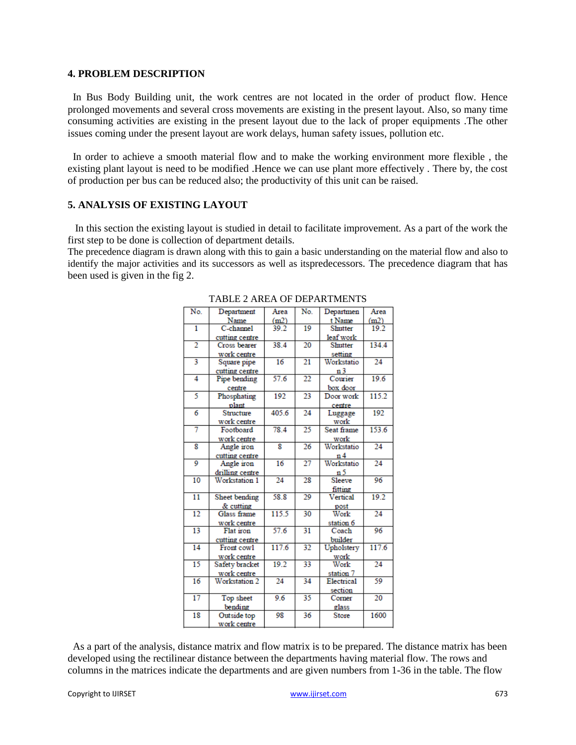#### **4. PROBLEM DESCRIPTION**

In Bus Body Building unit, the work centres are not located in the order of product flow. Hence prolonged movements and several cross movements are existing in the present layout. Also, so many time consuming activities are existing in the present layout due to the lack of proper equipments .The other issues coming under the present layout are work delays, human safety issues, pollution etc.

In order to achieve a smooth material flow and to make the working environment more flexible , the existing plant layout is need to be modified .Hence we can use plant more effectively . There by, the cost of production per bus can be reduced also; the productivity of this unit can be raised.

### **5. ANALYSIS OF EXISTING LAYOUT**

In this section the existing layout is studied in detail to facilitate improvement. As a part of the work the first step to be done is collection of department details.

The precedence diagram is drawn along with this to gain a basic understanding on the material flow and also to identify the major activities and its successors as well as itspredecessors. The precedence diagram that has been used is given in the fig 2.

| No.             | Department      | Area  | No.             | Departmen      | Area            |
|-----------------|-----------------|-------|-----------------|----------------|-----------------|
|                 | Name            | (m2)  |                 | t Name         | (m2)            |
| 1               | C-channel       | 39.2  | $\overline{19}$ | <b>Shutter</b> | 19.2            |
|                 | cutting centre  |       |                 | leaf work      |                 |
| $\overline{2}$  | Cross bearer    | 38.4  | $\overline{20}$ | <b>Shutter</b> | 134.4           |
|                 | work centre     |       |                 | setting        |                 |
| 3               | Square pipe     | 16    | $\overline{21}$ | Workstatio     | 24              |
|                 | cutting centre  |       |                 | n 3            |                 |
| 4               | Pipe bending    | 57.6  | $\overline{22}$ | Courier        | 19.6            |
|                 | centre          |       |                 | box door       |                 |
| 5               | Phosphating     | 192   | 23              | Door work      | 115.2           |
|                 | plant           |       |                 | centre         |                 |
| 6               | Structure       | 405.6 | 24              | Luggage        | 192             |
|                 | work centre     |       |                 | work           |                 |
| 7               | Footboard       | 78.4  | 25              | Seat frame     | 153.6           |
|                 | work centre     |       |                 | work           |                 |
| 8               | Angle iron      | 8     | 26              | Workstatio     | 24              |
|                 | cutting centre  |       |                 | n 4            |                 |
| 9               | Angle iron      | 16    | $\overline{27}$ | Workstatio     | 24              |
|                 | drilling centre |       |                 | n 5            |                 |
| 10              | Workstation 1   | 24    | 28              | Sleeve         | 96              |
|                 |                 |       |                 | fitting        |                 |
| $\overline{11}$ | Sheet bending   | 58.8  | 29              | Vertical       | 19.2            |
|                 | & cutting       |       |                 | post           |                 |
| $\overline{12}$ | Glass frame     | 115.5 | $\overline{30}$ | Work           | $\overline{24}$ |
|                 | work centre     |       |                 | station 6      |                 |
| $\overline{13}$ | Flat iron       | 57.6  | $\overline{31}$ | Coach          | 96              |
|                 | cutting centre  |       |                 | builder        |                 |
| 14              | Front cowl      | 117.6 | 32              | Upholstery     | 117.6           |
|                 | work centre     |       |                 | work           |                 |
| $\overline{15}$ | Safety bracket  | 19.2  | $\overline{33}$ | Work           | 24              |
|                 | work centre     |       |                 | station 7      |                 |
| 16              | Workstation 2   | 24    | 34              | Electrical     | 59              |
|                 |                 |       |                 | section        |                 |
| $\overline{17}$ | Top sheet       | 9.6   | 35              | Corner         | 20              |
|                 | bending         |       |                 | glass          |                 |
| 18              | Outside top     | 98    | 36              | <b>Store</b>   | 1600            |
|                 | work centre     |       |                 |                |                 |

TABLE 2 AREA OF DEPARTMENTS

As a part of the analysis, distance matrix and flow matrix is to be prepared. The distance matrix has been developed using the rectilinear distance between the departments having material flow. The rows and columns in the matrices indicate the departments and are given numbers from 1-36 in the table. The flow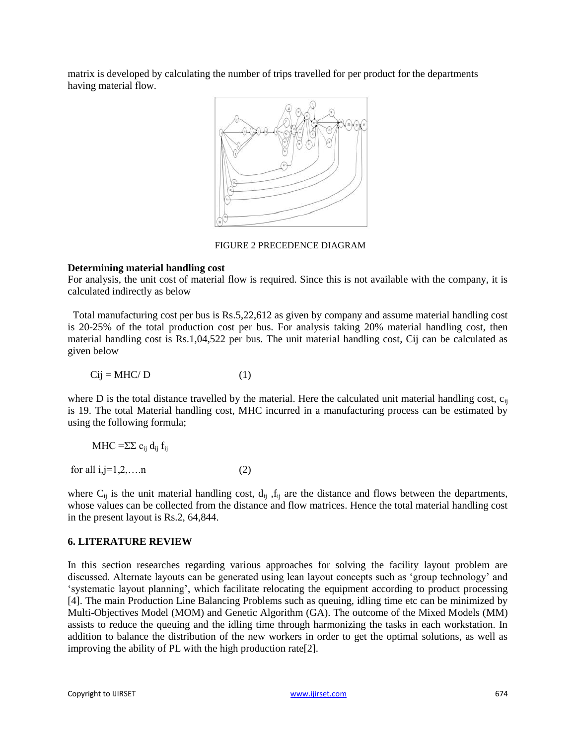matrix is developed by calculating the number of trips travelled for per product for the departments having material flow.



FIGURE 2 PRECEDENCE DIAGRAM

### **Determining material handling cost**

For analysis, the unit cost of material flow is required. Since this is not available with the company, it is calculated indirectly as below

Total manufacturing cost per bus is Rs.5,22,612 as given by company and assume material handling cost is 20-25% of the total production cost per bus. For analysis taking 20% material handling cost, then material handling cost is Rs.1,04,522 per bus. The unit material handling cost, Cij can be calculated as given below

$$
Cij = MHC/D \tag{1}
$$

where D is the total distance travelled by the material. Here the calculated unit material handling cost,  $c_{ii}$ is 19. The total Material handling cost, MHC incurred in a manufacturing process can be estimated by using the following formula;

$$
MHC = \Sigma \Sigma c_{ij} d_{ij} f_{ij}
$$
  
for all i,j=1,2,...n (2)

where  $C_{ij}$  is the unit material handling cost,  $d_{ij}$ ,  $f_{ij}$  are the distance and flows between the departments, whose values can be collected from the distance and flow matrices. Hence the total material handling cost in the present layout is Rs.2, 64,844.

# **6. LITERATURE REVIEW**

In this section researches regarding various approaches for solving the facility layout problem are discussed. Alternate layouts can be generated using lean layout concepts such as "group technology" and "systematic layout planning", which facilitate relocating the equipment according to product processing [4]. The main Production Line Balancing Problems such as queuing, idling time etc can be minimized by Multi-Objectives Model (MOM) and Genetic Algorithm (GA). The outcome of the Mixed Models (MM) assists to reduce the queuing and the idling time through harmonizing the tasks in each workstation. In addition to balance the distribution of the new workers in order to get the optimal solutions, as well as improving the ability of PL with the high production rate[2].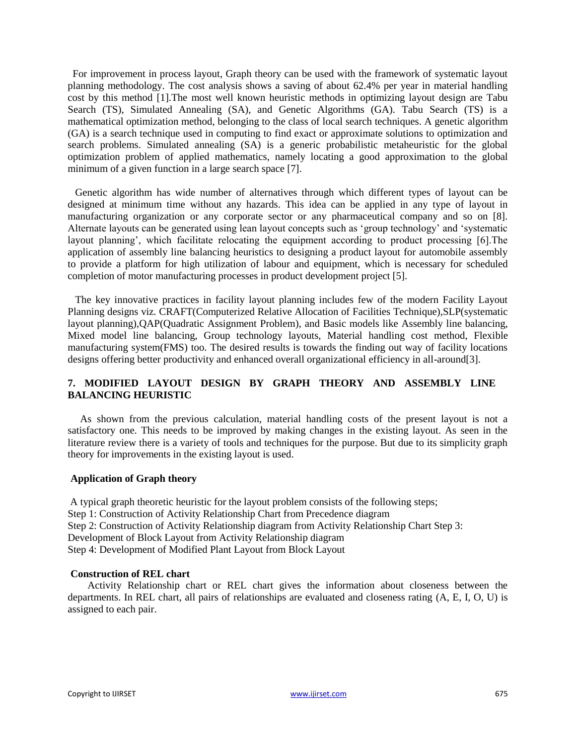For improvement in process layout, Graph theory can be used with the framework of systematic layout planning methodology. The cost analysis shows a saving of about 62.4% per year in material handling cost by this method [1].The most well known heuristic methods in optimizing layout design are Tabu Search (TS), Simulated Annealing (SA), and Genetic Algorithms (GA). Tabu Search (TS) is a mathematical optimization method, belonging to the class of local search techniques. A genetic algorithm (GA) is a search technique used in computing to find exact or approximate solutions to optimization and search problems. Simulated annealing (SA) is a generic probabilistic metaheuristic for the global optimization problem of applied mathematics, namely locating a good approximation to the global minimum of a given function in a large search space [7].

Genetic algorithm has wide number of alternatives through which different types of layout can be designed at minimum time without any hazards. This idea can be applied in any type of layout in manufacturing organization or any corporate sector or any pharmaceutical company and so on [8]. Alternate layouts can be generated using lean layout concepts such as "group technology" and "systematic layout planning", which facilitate relocating the equipment according to product processing [6].The application of assembly line balancing heuristics to designing a product layout for automobile assembly to provide a platform for high utilization of labour and equipment, which is necessary for scheduled completion of motor manufacturing processes in product development project [5].

The key innovative practices in facility layout planning includes few of the modern Facility Layout Planning designs viz. CRAFT(Computerized Relative Allocation of Facilities Technique),SLP(systematic layout planning),QAP(Quadratic Assignment Problem), and Basic models like Assembly line balancing, Mixed model line balancing, Group technology layouts, Material handling cost method, Flexible manufacturing system(FMS) too. The desired results is towards the finding out way of facility locations designs offering better productivity and enhanced overall organizational efficiency in all-around[3].

# **7. MODIFIED LAYOUT DESIGN BY GRAPH THEORY AND ASSEMBLY LINE BALANCING HEURISTIC**

As shown from the previous calculation, material handling costs of the present layout is not a satisfactory one. This needs to be improved by making changes in the existing layout. As seen in the literature review there is a variety of tools and techniques for the purpose. But due to its simplicity graph theory for improvements in the existing layout is used.

#### **Application of Graph theory**

A typical graph theoretic heuristic for the layout problem consists of the following steps; Step 1: Construction of Activity Relationship Chart from Precedence diagram Step 2: Construction of Activity Relationship diagram from Activity Relationship Chart Step 3: Development of Block Layout from Activity Relationship diagram Step 4: Development of Modified Plant Layout from Block Layout

# **Construction of REL chart**

Activity Relationship chart or REL chart gives the information about closeness between the departments. In REL chart, all pairs of relationships are evaluated and closeness rating (A, E, I, O, U) is assigned to each pair.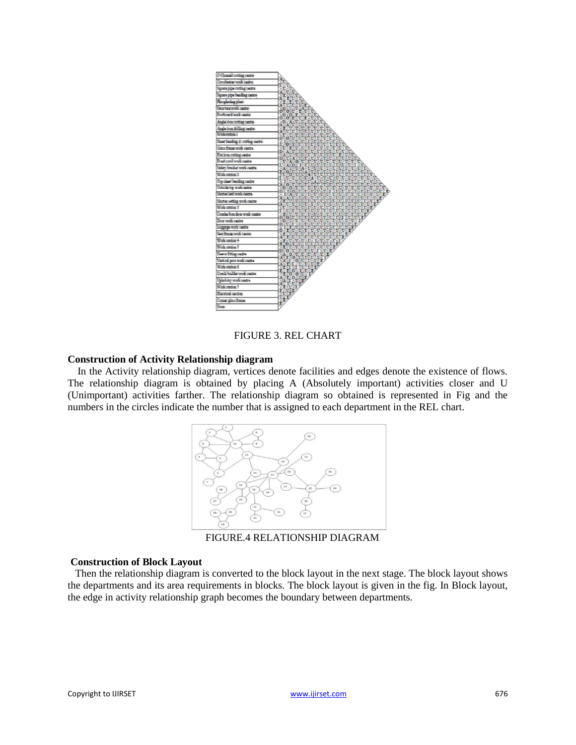

FIGURE 3. REL CHART

#### **Construction of Activity Relationship diagram**

In the Activity relationship diagram, vertices denote facilities and edges denote the existence of flows. The relationship diagram is obtained by placing A (Absolutely important) activities closer and U (Unimportant) activities farther. The relationship diagram so obtained is represented in Fig and the numbers in the circles indicate the number that is assigned to each department in the REL chart.



FIGURE.4 RELATIONSHIP DIAGRAM

#### **Construction of Block Layout**

Then the relationship diagram is converted to the block layout in the next stage. The block layout shows the departments and its area requirements in blocks. The block layout is given in the fig. In Block layout, the edge in activity relationship graph becomes the boundary between departments.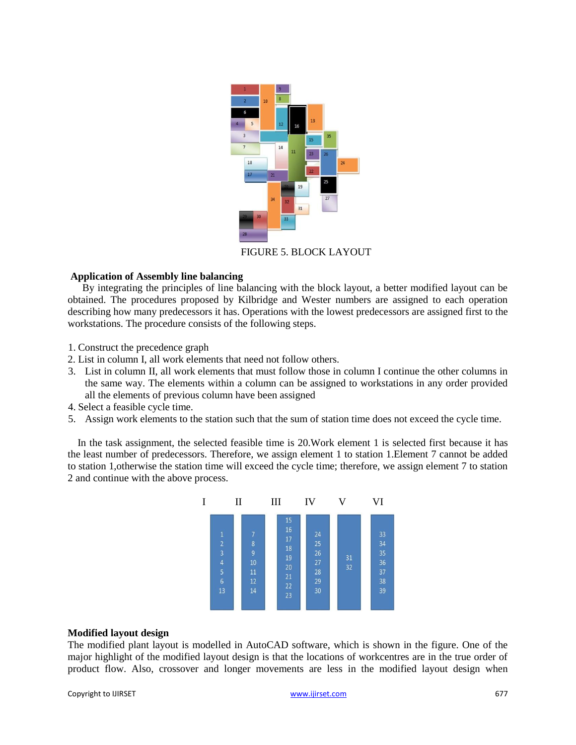

FIGURE 5. BLOCK LAYOUT

### **Application of Assembly line balancing**

By integrating the principles of line balancing with the block layout, a better modified layout can be obtained. The procedures proposed by Kilbridge and Wester numbers are assigned to each operation describing how many predecessors it has. Operations with the lowest predecessors are assigned first to the workstations. The procedure consists of the following steps.

- 1. Construct the precedence graph
- 2. List in column I, all work elements that need not follow others.
- 3. List in column II, all work elements that must follow those in column I continue the other columns in the same way. The elements within a column can be assigned to workstations in any order provided all the elements of previous column have been assigned
- 4. Select a feasible cycle time.
- 5. Assign work elements to the station such that the sum of station time does not exceed the cycle time.

In the task assignment, the selected feasible time is 20.Work element 1 is selected first because it has the least number of predecessors. Therefore, we assign element 1 to station 1.Element 7 cannot be added to station 1,otherwise the station time will exceed the cycle time; therefore, we assign element 7 to station 2 and continue with the above process.



#### **Modified layout design**

The modified plant layout is modelled in AutoCAD software, which is shown in the figure. One of the major highlight of the modified layout design is that the locations of workcentres are in the true order of product flow. Also, crossover and longer movements are less in the modified layout design when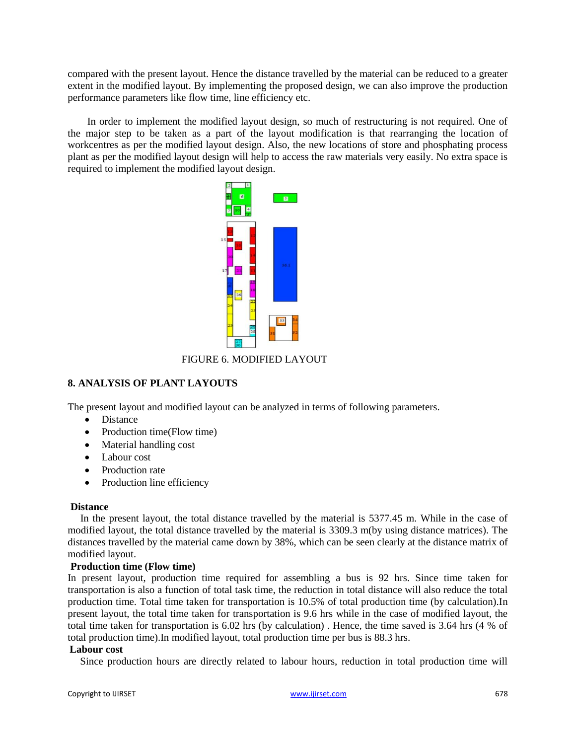compared with the present layout. Hence the distance travelled by the material can be reduced to a greater extent in the modified layout. By implementing the proposed design, we can also improve the production performance parameters like flow time, line efficiency etc.

In order to implement the modified layout design, so much of restructuring is not required. One of the major step to be taken as a part of the layout modification is that rearranging the location of workcentres as per the modified layout design. Also, the new locations of store and phosphating process plant as per the modified layout design will help to access the raw materials very easily. No extra space is required to implement the modified layout design.



FIGURE 6. MODIFIED LAYOUT

# **8. ANALYSIS OF PLANT LAYOUTS**

The present layout and modified layout can be analyzed in terms of following parameters.

- Distance
- Production time(Flow time)
- Material handling cost
- Labour cost
- Production rate
- Production line efficiency

# **Distance**

In the present layout, the total distance travelled by the material is 5377.45 m. While in the case of modified layout, the total distance travelled by the material is 3309.3 m(by using distance matrices). The distances travelled by the material came down by 38%, which can be seen clearly at the distance matrix of modified layout.

# **Production time (Flow time)**

In present layout, production time required for assembling a bus is 92 hrs. Since time taken for transportation is also a function of total task time, the reduction in total distance will also reduce the total production time. Total time taken for transportation is 10.5% of total production time (by calculation).In present layout, the total time taken for transportation is 9.6 hrs while in the case of modified layout, the total time taken for transportation is 6.02 hrs (by calculation) . Hence, the time saved is 3.64 hrs (4 % of total production time).In modified layout, total production time per bus is 88.3 hrs.

# **Labour cost**

Since production hours are directly related to labour hours, reduction in total production time will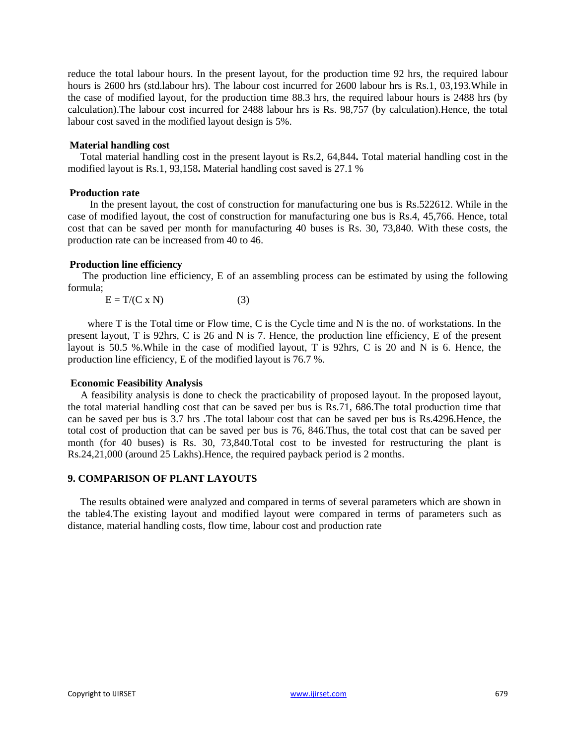reduce the total labour hours. In the present layout, for the production time 92 hrs, the required labour hours is 2600 hrs (std.labour hrs). The labour cost incurred for 2600 labour hrs is Rs.1, 03,193.While in the case of modified layout, for the production time 88.3 hrs, the required labour hours is 2488 hrs (by calculation).The labour cost incurred for 2488 labour hrs is Rs. 98,757 (by calculation).Hence, the total labour cost saved in the modified layout design is 5%.

#### **Material handling cost**

Total material handling cost in the present layout is Rs.2, 64,844**.** Total material handling cost in the modified layout is Rs.1, 93,158**.** Material handling cost saved is 27.1 %

#### **Production rate**

In the present layout, the cost of construction for manufacturing one bus is Rs.522612. While in the case of modified layout, the cost of construction for manufacturing one bus is Rs.4, 45,766. Hence, total cost that can be saved per month for manufacturing 40 buses is Rs. 30, 73,840. With these costs, the production rate can be increased from 40 to 46.

#### **Production line efficiency**

The production line efficiency, E of an assembling process can be estimated by using the following formula;

 $E = T/(C \times N)$  (3)

where T is the Total time or Flow time, C is the Cycle time and N is the no. of workstations. In the present layout, T is 92hrs, C is 26 and N is 7. Hence, the production line efficiency, E of the present layout is 50.5 %.While in the case of modified layout, T is 92hrs, C is 20 and N is 6. Hence, the production line efficiency, E of the modified layout is 76.7 %.

#### **Economic Feasibility Analysis**

A feasibility analysis is done to check the practicability of proposed layout. In the proposed layout, the total material handling cost that can be saved per bus is Rs.71, 686.The total production time that can be saved per bus is 3.7 hrs .The total labour cost that can be saved per bus is Rs.4296.Hence, the total cost of production that can be saved per bus is 76, 846.Thus, the total cost that can be saved per month (for 40 buses) is Rs. 30, 73,840.Total cost to be invested for restructuring the plant is Rs.24,21,000 (around 25 Lakhs).Hence, the required payback period is 2 months.

# **9. COMPARISON OF PLANT LAYOUTS**

The results obtained were analyzed and compared in terms of several parameters which are shown in the table4.The existing layout and modified layout were compared in terms of parameters such as distance, material handling costs, flow time, labour cost and production rate